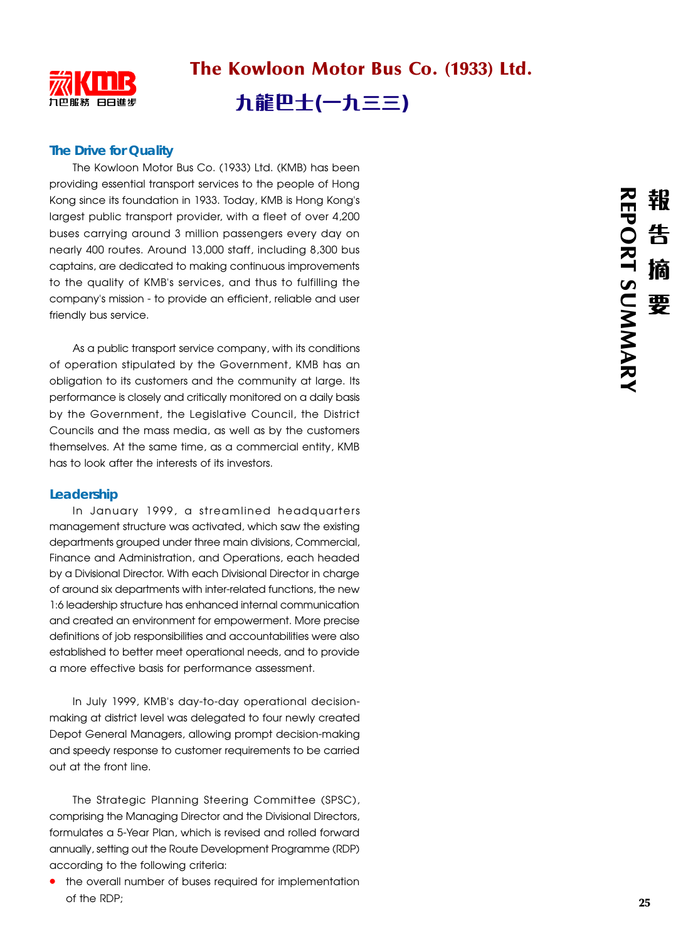

# **The Drive for Quality**

The Kowloon Motor Bus Co. (1933) Ltd. (KMB) has been providing essential transport services to the people of Hong Kong since its foundation in 1933. Today, KMB is Hong Kong's largest public transport provider, with a fleet of over 4,200 buses carrying around 3 million passengers every day on nearly 400 routes. Around 13,000 staff, including 8,300 bus captains, are dedicated to making continuous improvements to the quality of KMB's services, and thus to fulfilling the company's mission - to provide an efficient, reliable and user friendly bus service.

As a public transport service company, with its conditions of operation stipulated by the Government, KMB has an obligation to its customers and the community at large. Its performance is closely and critically monitored on a daily basis by the Government, the Legislative Council, the District Councils and the mass media, as well as by the customers themselves. At the same time, as a commercial entity, KMB has to look after the interests of its investors.

## **Leadership**

In January 1999, a streamlined headquarters management structure was activated, which saw the existing departments grouped under three main divisions, Commercial, Finance and Administration, and Operations, each headed by a Divisional Director. With each Divisional Director in charge of around six departments with inter-related functions, the new 1:6 leadership structure has enhanced internal communication and created an environment for empowerment. More precise definitions of job responsibilities and accountabilities were also established to better meet operational needs, and to provide a more effective basis for performance assessment.

In July 1999, KMB's day-to-day operational decisionmaking at district level was delegated to four newly created Depot General Managers, allowing prompt decision-making and speedy response to customer requirements to be carried out at the front line.

The Strategic Planning Steering Committee (SPSC), comprising the Managing Director and the Divisional Directors, formulates a 5-Year Plan, which is revised and rolled forward annually, setting out the Route Development Programme (RDP) according to the following criteria:

**•** the overall number of buses required for implementation of the RDP;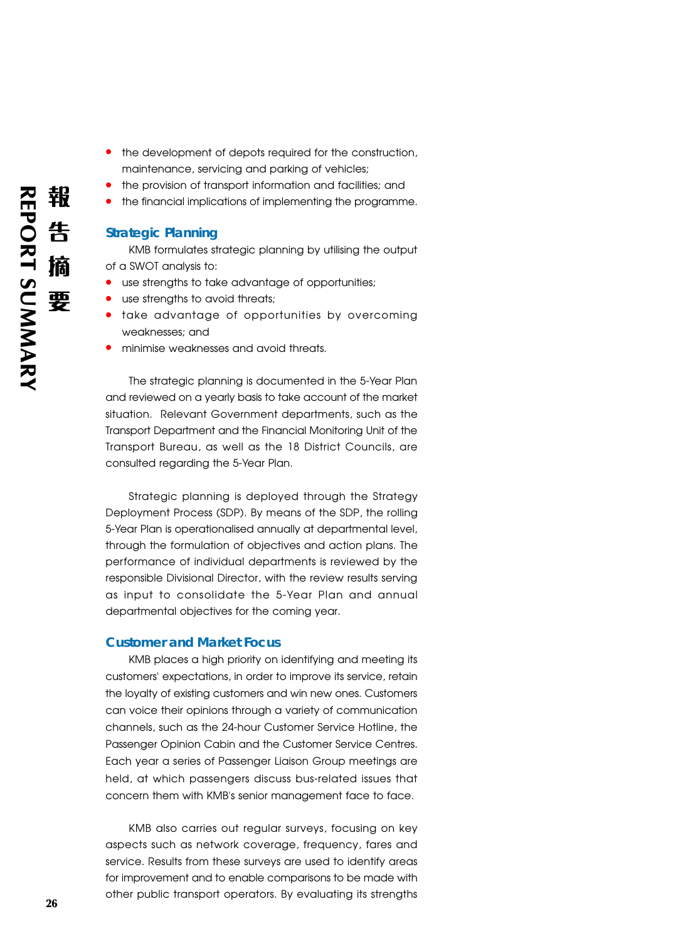- **•** the development of depots required for the construction, maintenance, servicing and parking of vehicles;
- **•** the provision of transport information and facilities; and
- **•** the financial implications of implementing the programme.

## **Strategic Planning**

KMB formulates strategic planning by utilising the output of a SWOT analysis to:

- **•** use strengths to take advantage of opportunities;
- use strengths to avoid threats;
- **•** take advantage of opportunities by overcoming weaknesses; and
- **•** minimise weaknesses and avoid threats.

The strategic planning is documented in the 5-Year Plan and reviewed on a yearly basis to take account of the market situation. Relevant Government departments, such as the Transport Department and the Financial Monitoring Unit of the Transport Bureau, as well as the 18 District Councils, are consulted regarding the 5-Year Plan.

Strategic planning is deployed through the Strategy Deployment Process (SDP). By means of the SDP, the rolling 5-Year Plan is operationalised annually at departmental level, through the formulation of objectives and action plans. The performance of individual departments is reviewed by the responsible Divisional Director, with the review results serving as input to consolidate the 5-Year Plan and annual departmental objectives for the coming year.

### **Customer and Market Focus**

KMB places a high priority on identifying and meeting its customers' expectations, in order to improve its service, retain the loyalty of existing customers and win new ones. Customers can voice their opinions through a variety of communication channels, such as the 24-hour Customer Service Hotline, the Passenger Opinion Cabin and the Customer Service Centres. Each year a series of Passenger Liaison Group meetings are held, at which passengers discuss bus-related issues that concern them with KMB's senior management face to face.

KMB also carries out regular surveys, focusing on key aspects such as network coverage, frequency, fares and service. Results from these surveys are used to identify areas for improvement and to enable comparisons to be made with other public transport operators. By evaluating its strengths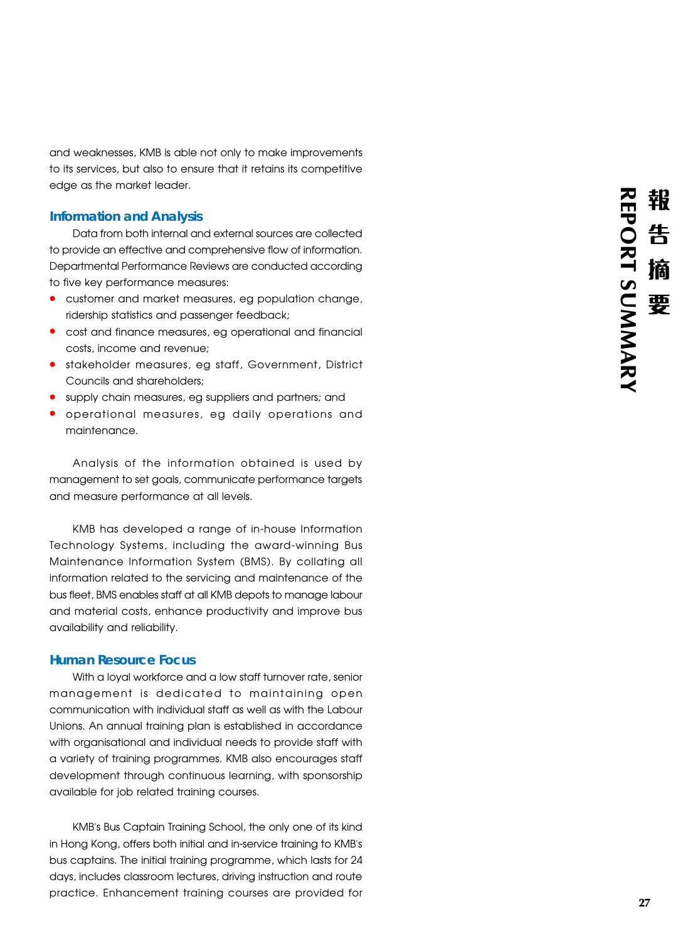and weaknesses, KMB is able not only to make improvements to its services, but also to ensure that it retains its competitive edge as the market leader.

## **Information and Analysis**

Data from both internal and external sources are collected to provide an effective and comprehensive flow of information. Departmental Performance Reviews are conducted according to five key performance measures:

- **•** customer and market measures, eg population change, ridership statistics and passenger feedback;
- **•** cost and finance measures, eg operational and financial costs, income and revenue;
- **•** stakeholder measures, eg staff, Government, District Councils and shareholders;
- **•** supply chain measures, eg suppliers and partners; and **•** operational measures, eg daily operations and
- maintenance.

Analysis of the information obtained is used by management to set goals, communicate performance targets and measure performance at all levels.

KMB has developed a range of in-house Information Technology Systems, including the award-winning Bus Maintenance Information System (BMS). By collating all information related to the servicing and maintenance of the bus fleet, BMS enables staff at all KMB depots to manage labour and material costs, enhance productivity and improve bus availability and reliability.

### **Human Resource Focus**

With a loyal workforce and a low staff turnover rate, senior management is dedicated to maintaining open communication with individual staff as well as with the Labour Unions. An annual training plan is established in accordance with organisational and individual needs to provide staff with a variety of training programmes. KMB also encourages staff development through continuous learning, with sponsorship available for job related training courses.

KMB's Bus Captain Training School, the only one of its kind in Hong Kong, offers both initial and in-service training to KMB's bus captains. The initial training programme, which lasts for 24 days, includes classroom lectures, driving instruction and route practice. Enhancement training courses are provided for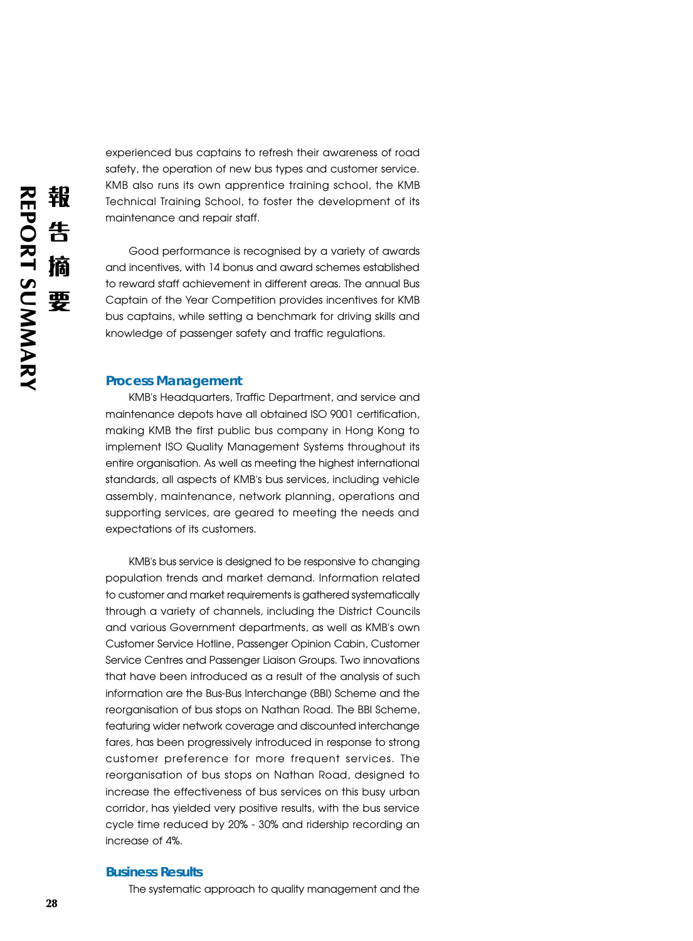experienced bus captains to refresh their awareness of road safety, the operation of new bus types and customer service. KMB also runs its own apprentice training school, the KMB Technical Training School, to foster the development of its maintenance and repair staff.

Good performance is recognised by a variety of awards and incentives, with 14 bonus and award schemes established to reward staff achievement in different areas. The annual Bus Captain of the Year Competition provides incentives for KMB bus captains, while setting a benchmark for driving skills and knowledge of passenger safety and traffic regulations.

#### **Process Management**

KMB's Headquarters, Traffic Department, and service and maintenance depots have all obtained ISO 9001 certification, making KMB the first public bus company in Hong Kong to implement ISO Quality Management Systems throughout its entire organisation. As well as meeting the highest international standards, all aspects of KMB's bus services, including vehicle assembly, maintenance, network planning, operations and supporting services, are geared to meeting the needs and expectations of its customers.

KMB's bus service is designed to be responsive to changing population trends and market demand. Information related to customer and market requirements is gathered systematically through a variety of channels, including the District Councils and various Government departments, as well as KMB's own Customer Service Hotline, Passenger Opinion Cabin, Customer Service Centres and Passenger Liaison Groups. Two innovations that have been introduced as a result of the analysis of such information are the Bus-Bus Interchange (BBI) Scheme and the reorganisation of bus stops on Nathan Road. The BBI Scheme, featuring wider network coverage and discounted interchange fares, has been progressively introduced in response to strong customer preference for more frequent services. The reorganisation of bus stops on Nathan Road, designed to increase the effectiveness of bus services on this busy urban corridor, has yielded very positive results, with the bus service cycle time reduced by 20% - 30% and ridership recording an increase of 4%.

### **Business Results**

The systematic approach to quality management and the